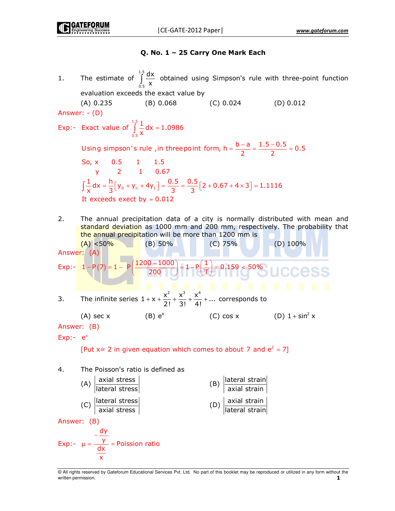# Q. No. 1 - 25 Carry One Mark Each

- The estimate of  $\int_{c}^{1.5} \frac{dx}{x}$  obtained using Simpson's rule with three-point function  $1.$ evaluation exceeds the exact value by  $(C) 0.024$  $(D) 0.012$  $(A) 0.235$  $(B) 0.068$ Answer:  $-(D)$ Exp:- Exact value of  $\int_{-x}^{1.5} \frac{1}{x} dx = 1.0986$ Using simpson's rule, in three point form,  $h = \frac{b-a}{2} = \frac{1.5 - 0.5}{2} = 0.5$ So, x 0.5 1 1.5  $2^{\circ}$ 1 0.67  $\mathbf{V}$  $\int \frac{1}{x} dx = \frac{h}{3} [y_0 + y_n + 4y_1] = \frac{0.5}{3} = \frac{0.5}{3} [2 + 0.67 + 4 \times 3] = 1.1116$ It exceeds exect by  $\approx 0.012$  $2.$ The annual precipitation data of a city is normally distributed with mean and standard deviation as 1000 mm and 200 mm, respectively. The probability that the annual precipitation will be more than 1200 mm is  $(A) < 50\%$  $(B) 50%$  $(C)$  75%  $(D)$  100% Answer: (A) Exp:-  $1 - P(7) = 1 - P\left(\frac{1200 - 1000}{200}\right) = 1 - P\left(\frac{1}{T}\right) = 0.159 < 50\%$ The infinite series  $1 + x + \frac{x^2}{2!} + \frac{x^3}{3!} + \frac{x^4}{4!} + ...$  corresponds to 3. (C) cos x  $(D)$  1 + sin<sup>2</sup> x  $(A)$  sec  $x$  $(B) e<sup>x</sup>$ Answer: (B)  $Exp:-e^x$ [Put x = 2 in given equation which comes to about 7 and  $e^2 = 7$ ]
- The Poisson's ratio is defined as 4.

(A) 
$$
|\text{axial stress}|
$$

\n(B)  $|\text{lateral strain}$    
\naxial strain

\n(C)  $|\text{lateral stress}|$ 

\n(D)  $|\text{axial strain}$    
\nAnswer: **(B)**

\nAnswer: **(B)**

$$
Exp: - \mu = \frac{-\frac{dy}{y}}{\frac{dx}{x}} = \text{Poisson ratio}
$$

@ All rights reserved by Gateforum Educational Services Pvt. Ltd. No part of this booklet may be reproduced or utilized in any form without the written permission. 1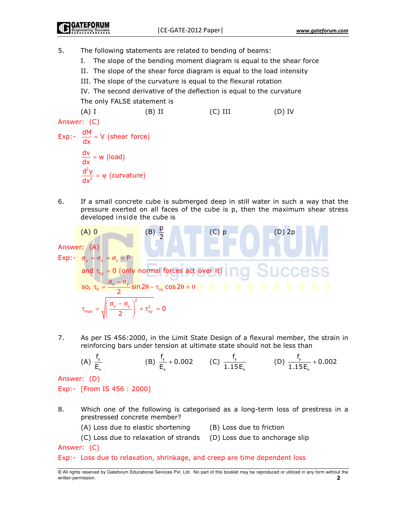5. The following statements are related to bending of beams:

- I. The slope of the bending moment diagram is equal to the shear force
- II. The slope of the shear force diagram is equal to the load intensity
- III. The slope of the curvature is equal to the flexural rotation
- IV. The second derivative of the deflection is equal to the curvature The only FALSE statement is

 $(A)$  I  $(B)$  II  $(C)$  III  $(D)$  IV Answer: (C) Exp:-  $\frac{dM}{dx}$  = V (shear force)  $\frac{dv}{dx}$  = w (load)  $\frac{d^2y}{dx^2} = \psi$  (curvature)

6. If a small concrete cube is submerged deep in still water in such a way that the pressure exerted on all faces of the cube is p, then the maximum shear stress developed inside the cube is

Answer: (A)

\nAnswer: (A)

\nExp: 
$$
\sigma_x = \sigma_x = \sigma_z = P
$$

\nand  $\tau_{xy} = 0$  (only normal forces act over it)

\nSo,  $\tau_0 = \frac{\sigma_x - \sigma_y}{2} \sin 2\theta - \tau_{xy} \cos 2\theta = 0$ 

\n $\tau_{max} = \sqrt{\left(\frac{\sigma_x - \sigma_y}{2}\right)^2 + \tau_{xy}^2} = 0$ 

7. As per IS 456:2000, in the Limit State Design of a flexural member, the strain in reinforcing bars under tension at ultimate state should not be less than

(A) 
$$
\frac{f_y}{E_x}
$$
 (B)  $\frac{f_y}{E_x} + 0.002$  (C)  $\frac{f_y}{1.15E_x}$  (D)  $\frac{f_y}{1.15E_x} + 0.002$ 

Answer: (D)

# Exp:- [From IS 456 : 2000]

- 8. Which one of the following is categorised as a long-term loss of prestress in a prestressed concrete member?
	- (A) Loss due to elastic shortening
		- (B) Loss due to friction
	- (C) Loss due to relaxation of strands (D) Loss due to anchorage slip

Answer: (C)

#### Exp:- Loss due to relaxation, shrinkage, and creep are time dependent loss

<sup>@</sup> All rights reserved by Gateforum Educational Services Pvt. Ltd. No part of this booklet may be reproduced or utilized in any form without the written permission.  $\overline{\phantom{a}}$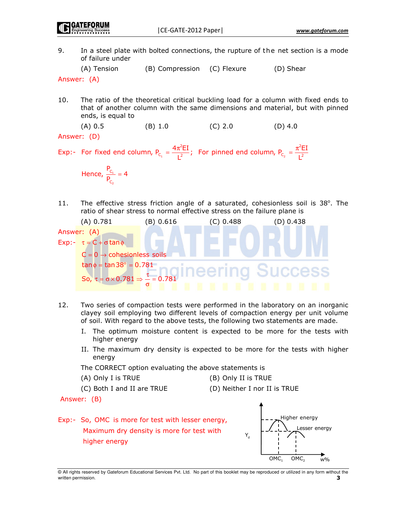9. In a steel plate with bolted connections, the rupture of the net section is a mode of failure under

(A) Tension (B) Compression (C) Flexure (D) Shear

Answer: (A)

- The ratio of the theoretical critical buckling load for a column with fixed ends to 10. that of another column with the same dimensions and material, but with pinned ends, is equal to
	- $(A) 0.5$  $(C) 2.0$  $(D)$  4.0  $(B) 1.0$
- Answer: (D)

Exp:- For fixed end column,  $P_{C_1} = \frac{4\pi^2 EI}{I^2}$ ; For pinned end column,  $P_{C_2} = \frac{\pi^2 EI}{I^2}$ 

Hence, 
$$
\frac{P_{C_1}}{P_{C_2}} = 4
$$

 $11.$ The effective stress friction angle of a saturated, cohesionless soil is 38°. The ratio of shear stress to normal effective stress on the failure plane is



- $12.$ Two series of compaction tests were performed in the laboratory on an inorganic clayey soil employing two different levels of compaction energy per unit volume of soil. With regard to the above tests, the following two statements are made.
	- I. The optimum moisture content is expected to be more for the tests with higher energy
	- II. The maximum dry density is expected to be more for the tests with higher energy

The CORRECT option evaluating the above statements is

- (A) Only I is TRUE
	- (B) Only II is TRUE
- (C) Both I and II are TRUE
- (D) Neither I nor II is TRUE

Answer: (B)

Exp:- So, OMC is more for test with lesser energy, Maximum dry density is more for test with higher energy

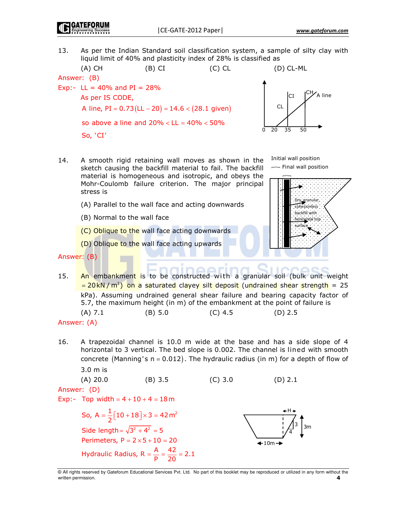GATEFORUN

As per the Indian Standard soil classification system, a sample of silty clay with  $13.$ liquid limit of 40% and plasticity index of 28% is classified as



- 14. A smooth rigid retaining wall moves as shown in the sketch causing the backfill material to fail. The backfill material is homogeneous and isotropic, and obeys the Mohr-Coulomb failure criterion. The major principal stress is
	- (A) Parallel to the wall face and acting downwards
	- (B) Normal to the wall face
	- (C) Oblique to the wall face acting downwards

(D) Oblique to the wall face acting upwards

Answer: (B)

15. An embankment is to be constructed with a granular soil (bulk unit weight  $=$  20 kN /  $m^3$ ) on a saturated clayey silt deposit (undrained shear strength = 25 kPa). Assuming undrained general shear failure and bearing capacity factor of 5.7, the maximum height (in m) of the embankment at the point of failure is

 $(A)$  7.1  $(B) 5.0$  $(C)$  4.5  $(D) 2.5$ 

16. A trapezoidal channel is 10.0 m wide at the base and has a side slope of 4 horizontal to 3 vertical. The bed slope is 0.002. The channel is lined with smooth concrete (Manning's  $n = 0.012$ ). The hydraulic radius (in m) for a depth of flow of  $3.0 \text{ m}$  is

(A) 20.0 (B) 3.5 (C) 3.0 (D) 2.1  
\nAnswer: (D)  
\nExp:- Top width = 4 + 10 + 4 = 18m  
\nSo, 
$$
A = \frac{1}{2} [10 + 18] \times 3 = 42 \text{ m}^2
$$
  
\nSide length =  $\sqrt{3^2 + 4^2} = 5$   
\nPerimeters,  $P = 2 \times 5 + 10 = 20$   
\nHydraulic Radius,  $R = \frac{A}{P} = \frac{42}{20} = 2.1$  (A)



 $3m$ 

Initial wall position

 $\sim$  Final wall position

Answer: (A)

<sup>@</sup> All rights reserved by Gateforum Educational Services Pvt. Ltd. No part of this booklet may be reproduced or utilized in any form without the written permission. 4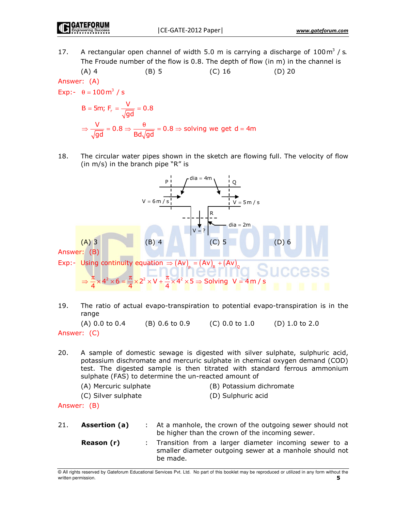A rectangular open channel of width 5.0 m is carrying a discharge of  $100 \text{ m}^3$  / s. 17. The Froude number of the flow is 0.8. The depth of flow (in m) in the channel is

(A) 4 (B) 5 (C) 16 (D) 20  
Answer: (A)  
Exp:- 
$$
\theta = 100 \text{ m}^3 / \text{s}
$$
  
B = 5m; F<sub>r</sub> =  $\frac{V}{\sqrt{gd}}$  = 0.8

$$
\Rightarrow \frac{V}{\sqrt{gd}} = 0.8 \Rightarrow \frac{\theta}{Bd\sqrt{gd}} = 0.8 \Rightarrow \text{ solving we get } d = 4m
$$

18. The circular water pipes shown in the sketch are flowing full. The velocity of flow (in m/s) in the branch pipe "R" is



19. The ratio of actual evapo-transpiration to potential evapo-transpiration is in the range

 $(A)$  0.0 to 0.4  $(B)$  0.6 to 0.9  $(C)$  0.0 to 1.0  $(D)$  1.0 to 2.0 Answer: (C)

 $20.$ A sample of domestic sewage is digested with silver sulphate, sulphuric acid, potassium dischromate and mercuric sulphate in chemical oxygen demand (COD) test. The digested sample is then titrated with standard ferrous ammonium sulphate (FAS) to determine the un-reacted amount of

```
(A) Mercuric sulphate
```
(B) Potassium dichromate

(C) Silver sulphate

(D) Sulphuric acid

Answer: (B)

 $21.$ Assertion (a) At a manhole, the crown of the outgoing sewer should not  $\mathbb{R}^{\mathbb{Z}}$ be higher than the crown of the incoming sewer. Reason (r) Transition from a larger diameter incoming sewer to a smaller diameter outgoing sewer at a manhole should not be made.

<sup>@</sup> All rights reserved by Gateforum Educational Services Pvt. Ltd. No part of this booklet may be reproduced or utilized in any form without the written permission. 5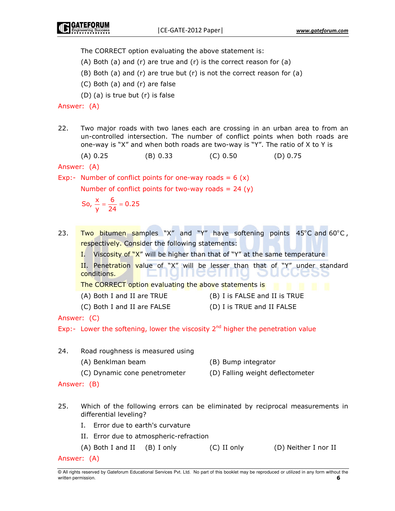The CORRECT option evaluating the above statement is:

(A) Both (a) and (r) are true and (r) is the correct reason for (a)

- (B) Both (a) and (r) are true but (r) is not the correct reason for (a)
- (C) Both (a) and (r) are false

(D) (a) is true but (r) is false

Answer: (A)

22. Two major roads with two lanes each are crossing in an urban area to from an un-controlled intersection. The number of conflict points when both roads are one-way is "X" and when both roads are two-way is "Y". The ratio of X to Y is

 $(A) 0.25$  $(B) 0.33$  $(C) 0.50$  $(D) 0.75$ 

Answer: (A)

Exp:- Number of conflict points for one-way roads =  $6(x)$ 

Number of conflict points for two-way roads =  $24(y)$ 

So, 
$$
\frac{x}{y} = \frac{6}{24} = 0.25
$$

- Two bitumen samples "X" and "Y" have softening points 45°C and 60°C, 23. respectively. Consider the following statements:
	- I. Viscosity of "X" will be higher than that of "Y" at the same temperature

II. Penetration value of "X" will be lesser than that of "Y" under standard conditions. LICCLII

The CORRECT option evaluating the above statements is

- (A) Both I and II are TRUE
- (B) I is FALSE and II is TRUE
- (C) Both I and II are FALSE (D) I is TRUE and II FALSE

Answer: (C)

Exp:- Lower the softening, lower the viscosity  $2^{nd}$  higher the penetration value

- 24. Road roughness is measured using (A) Benklman beam (B) Bump integrator (C) Dynamic cone penetrometer (D) Falling weight deflectometer Answer: (B)  $25.$ Which of the following errors can be eliminated by reciprocal measurements in differential leveling? I. Error due to earth's curvature II. Error due to atmospheric-refraction
	- (A) Both I and II (B) I only  $(C)$  II only (D) Neither I nor II

Answer: (A)

<sup>@</sup> All rights reserved by Gateforum Educational Services Pvt. Ltd. No part of this booklet may be reproduced or utilized in any form without the written permission. 6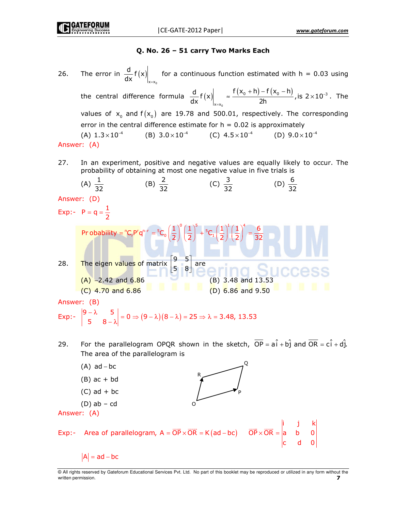# Q. No. 26 - 51 carry Two Marks Each

The error in  $\frac{d}{dx}f(x)\Big|_{x=x}$  for a continuous function estimated with h = 0.03 using 26. the central difference formula  $\frac{d}{dx}f(x)\Big|_{x=x_0} \approx \frac{f(x_0+h)-f(x_0-h)}{2h}$ , is  $2\times 10^{-3}$ . The values of  $x_0$  and  $f(x_0)$  are 19.78 and 500.01, respectively. The corresponding error in the central difference estimate for  $h = 0.02$  is approximately (A)  $1.3 \times 10^{-4}$ (B)  $3.0 \times 10^{-4}$  (C)  $4.5 \times 10^{-4}$ (D)  $9.0 \times 10^{-4}$ Answer: (A)

In an experiment, positive and negative values are equally likely to occur. The 27. probability of obtaining at most one negative value in five trials is

(A) 
$$
\frac{1}{32}
$$
 (B)  $\frac{2}{32}$  (C)  $\frac{3}{32}$  (D)  $\frac{6}{32}$   
\nAnswer: (D)  
\nExp: - P = q =  $\frac{1}{2}$   
\nProbability = "C<sub>r</sub>P<sup>r</sup>q<sup>n-r</sup> =  ${}^{5}C_{0} (\frac{1}{2})^{0} (\frac{1}{2})^{5} + {}^{5}C_{1} (\frac{1}{2})^{1} (\frac{1}{2})^{4} = \frac{6}{32}$   
\n28. The eigen values of matrix  $\begin{bmatrix} 9 & 5 \\ 5 & 8 \end{bmatrix}$  are  
\n(A) -2.42 and 6.86  
\n(C) 4.70 and 6.86  
\nAnswer: (B)  
\nExp: -  $\begin{vmatrix} 9 - \lambda & 5 \\ 5 & 8 - \lambda \end{vmatrix} = 0 \Rightarrow (9 - \lambda)(8 - \lambda) = 25 \Rightarrow \lambda = 3.48, 13.53$ 

For the parallelogram OPQR shown in the sketch,  $\overline{OP} = a\hat{i} + b\hat{j}$  and  $\overline{OR} = c\hat{i} + d\hat{j}$ . 29. The area of the parallelogram is

(A) ad - bc  
\n(B) ac + bd  
\n(C) ad + bc  
\n(D) ab - cd  
\nAnswer: (A)  
\nExp:- Area of parallelogram, 
$$
A = \overrightarrow{OP} \times \overrightarrow{OR} = K(ad - bc)
$$
  $\overrightarrow{OP} \times \overrightarrow{OR} = \begin{vmatrix} i & j & k \\ a & b & 0 \\ c & d & 0 \end{vmatrix}$   
\n $|A| = ad - bc$ 

@ All rights reserved by Gateforum Educational Services Pvt. Ltd. No part of this booklet may be reproduced or utilized in any form without the written permission.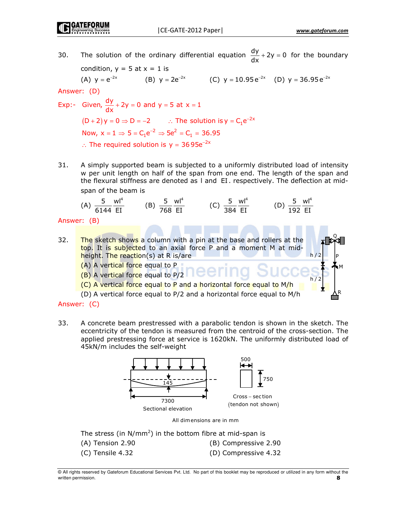The solution of the ordinary differential equation  $\frac{dy}{dx} + 2y = 0$  for the boundary 30. condition,  $y = 5$  at  $x = 1$  is (A)  $y = e^{-2x}$  (B)  $y = 2e^{-2x}$  (C)  $y = 10.95 e^{-2x}$  (D)  $y = 36.95 e^{-2x}$ Answer: (D) Exp:- Given,  $\frac{dy}{dx}$  + 2y = 0 and y = 5 at x = 1  $(D+2)y = 0 \Rightarrow D = -2$  : The solution is  $y = C_1 e^{-2x}$ Now,  $x = 1 \Rightarrow 5 = C_1 e^{-2} \Rightarrow 5e^2 = C_1 = 36.95$ :. The required solution is  $y = 3695e^{-2x}$ 

31. A simply supported beam is subjected to a uniformly distributed load of intensity w per unit length on half of the span from one end. The length of the span and the flexural stiffness are denoted as I and EI. respectively. The deflection at midspan of the beam is

(A) 
$$
\frac{5}{6144} \frac{wl^4}{EI}
$$
 (B)  $\frac{5}{768} \frac{wl^4}{EI}$  (C)  $\frac{5}{384} \frac{wl^4}{EI}$  (D)  $\frac{5}{192} \frac{wl^4}{EI}$ 

Answer: (B)

32. The sketch shows a column with a pin at the base and rollers at the top. It is subjected to an axial force P and a moment M at midheight. The reaction(s) at R is/are  $h/2$ (A) A vertical force equal to P (B) A vertical force equal to P/2 (C) A vertical force equal to P and a horizontal force equal to M/h (D) A vertical force equal to P/2 and a horizontal force equal to M/h

Answer: (C)

33. A concrete beam prestressed with a parabolic tendon is shown in the sketch. The eccentricity of the tendon is measured from the centroid of the cross-section. The applied prestressing force at service is 1620kN. The uniformly distributed load of 45kN/m includes the self-weight



The stress (in  $N/mm^2$ ) in the bottom fibre at mid-span is

(A) Tension 2.90 (B) Compressive 2.90  $(C)$  Tensile 4.32 (D) Compressive 4.32

<sup>@</sup> All rights reserved by Gateforum Educational Services Pvt. Ltd. No part of this booklet may be reproduced or utilized in any form without the written permission. 8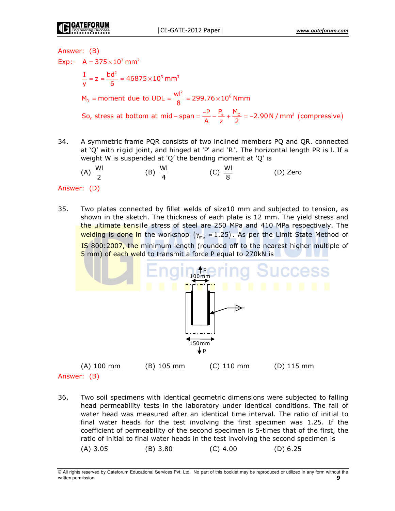# Answer: (B)

Exp:-  $A = 375 \times 10^3$  mm<sup>2</sup>  $\frac{I}{V}$  = z =  $\frac{bd^2}{6}$  = 46875×10<sup>3</sup> mm<sup>3</sup>  $M_{\rm p}$  = moment due to UDL =  $\frac{|W|^2}{8}$  = 299.76 × 10<sup>6</sup> Nmm So, stress at bottom at mid – span =  $\frac{-P}{\Delta} - \frac{P_e}{z} + \frac{M_p}{2} = -2.90 \text{ N / mm}^2$  (compressive)

34. A symmetric frame PQR consists of two inclined members PQ and QR. connected at 'Q' with rigid joint, and hinged at 'P' and 'R'. The horizontal length PR is l. If a weight W is suspended at 'Q' the bending moment at 'Q' is

(A) 
$$
\frac{WI}{2}
$$
 (B)  $\frac{WI}{4}$  (C)  $\frac{WI}{8}$  (D) Zero

# Answer: (D)

35. Two plates connected by fillet welds of size10 mm and subjected to tension, as shown in the sketch. The thickness of each plate is 12 mm. The yield stress and the ultimate tensile stress of steel are 250 MPa and 410 MPa respectively. The welding is done in the workshop  $(\gamma_{mw} = 1.25)$ . As per the Limit State Method of IS 800:2007, the minimum length (rounded off to the nearest higher multiple of 5 mm) of each weld to transmit a force P equal to 270kN is



 $(A)$  100 mm  $(B)$  105 mm  $(C)$  110 mm  $(D)$  115 mm Answer: (B)

36. Two soil specimens with identical geometric dimensions were subjected to falling head permeability tests in the laboratory under identical conditions. The fall of water head was measured after an identical time interval. The ratio of initial to final water heads for the test involving the first specimen was 1.25. If the coefficient of permeability of the second specimen is 5-times that of the first, the ratio of initial to final water heads in the test involving the second specimen is  $(C)$  4.00  $(A)$  3.05  $(B)$  3.80  $(D) 6.25$ 

<sup>@</sup> All rights reserved by Gateforum Educational Services Pvt. Ltd. No part of this booklet may be reproduced or utilized in any form without the written permission.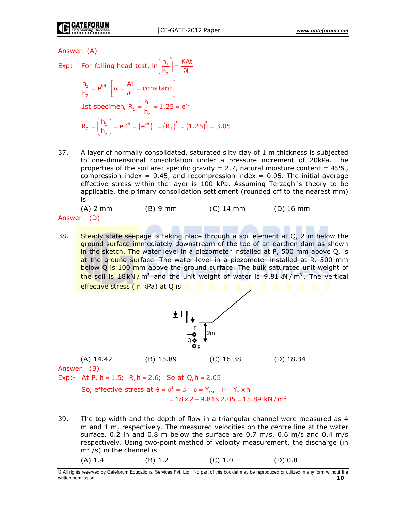Answer: (A)

- Exp:- For falling head test,  $\ln\left(\frac{h_1}{h_2}\right) = \frac{KAt}{\partial L}$  $\frac{h_1}{h_2} = e^{kd} \left[ \alpha = \frac{At}{\partial L} = constant \right]$ 1st specimen,  $R_1 = \frac{h_1}{h_2} = 1.25 = e^{kd}$  $R_2 = \left(\frac{h_1}{h_2}\right) = e^{5kd} = \left(e^{kd}\right)^5 = \left(R_1\right)^5 = \left(1.25\right)^5 = 3.05$
- 37. A layer of normally consolidated, saturated silty clay of 1 m thickness is subjected to one-dimensional consolidation under a pressure increment of 20kPa. The properties of the soil are: specific gravity = 2.7, natural moisture content =  $45\%$ , compression index = 0.45, and recompression index = 0.05. The initial average effective stress within the layer is 100 kPa. Assuming Terzaghi's theory to be applicable, the primary consolidation settlement (rounded off to the nearest mm) is

| $(A)$ 2 mm | $(B)$ 9 mm | $(C)$ 14 mm | $(D)$ 16 mm |
|------------|------------|-------------|-------------|
| ver: (D)   |            |             |             |

- Answ
- 38. Steady state seepage is taking place through a soil element at Q, 2 m below the ground surface immediately downstream of the toe of an earthen dam as shown in the sketch. The water level in a piezometer installed at P, 500 mm above Q, is at the ground surface. The water level in a piezometer installed at R. 500 mm below Q is 100 mm above the ground surface. The bulk saturated unit weight of the soil is  $18kN/m^3$  and the unit weight of water is 9.81kN/m<sup>3</sup>. The vertical effective stress (in kPa) at Q is



 $(D)$  18.34

Answer: (B)

 $(A)$  14.42

Exp:- At P, h = 1.5; R, h = 2.6; So at Q, h = 2.05

So, effective stress at  $\theta = \sigma^1 = \sigma - \nu = Y_{\rm ext} \times H - Y_{\rm ex} \times h$  $= 18 \times 2 - 9.81 \times 2.05 = 15.89$  kN/m<sup>2</sup>

39. The top width and the depth of flow in a triangular channel were measured as 4 m and 1 m, respectively. The measured velocities on the centre line at the water surface. 0.2 in and 0.8 m below the surface are 0.7 m/s, 0.6 m/s and 0.4 m/s respectively. Using two-point method of velocity measurement, the discharge (in  $m<sup>3</sup>$ /s) in the channel is  $(A) 1.4$  $(B) 1.2$  $(C) 1.0$  $(D) 0.8$ 

<sup>@</sup> All rights reserved by Gateforum Educational Services Pvt. Ltd. No part of this booklet may be reproduced or utilized in any form without the written permission. 1 O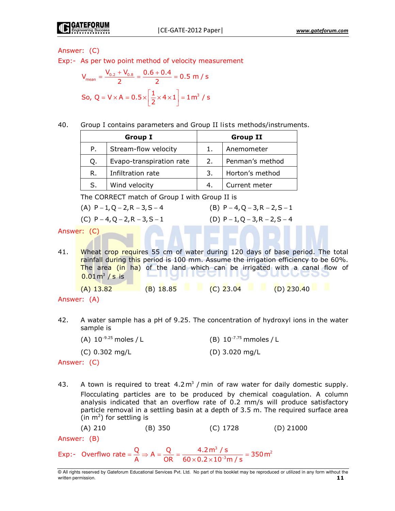# Answer: (C)

Exp:- As per two point method of velocity measurement

$$
V_{\text{mean}} = \frac{V_{0.2} + V_{0.8}}{2} = \frac{0.6 + 0.4}{2} = 0.5 \text{ m/s}
$$
  
So, Q = V × A = 0.5 ×  $\left[\frac{1}{2} \times 4 \times 1\right] = 1 \text{ m}^3 / \text{s}$ 

40. Group I contains parameters and Group II lists methods/instruments.

| <b>Group I</b> |                          | <b>Group II</b> |                 |
|----------------|--------------------------|-----------------|-----------------|
| P.             | Stream-flow velocity     |                 | Anemometer      |
| Q.             | Evapo-transpiration rate | 2.              | Penman's method |
| R.             | Infiltration rate        | 3.              | Horton's method |
| S.             | Wind velocity            |                 | Current meter   |

The CORRECT match of Group I with Group II is

| (A) $P - 1$ , Q – 2, R – 3, S – 4 |  |
|-----------------------------------|--|
|-----------------------------------|--|

(C)  $P - 4$ ,  $Q - 2$ ,  $R - 3$ ,  $S - 1$ 

(B)  $P - 4$ , Q – 3, R – 2, S – 1 (D)  $P - 1$ ,  $Q - 3$ ,  $R - 2$ ,  $S - 4$ 

Answer: (C)

Wheat crop requires 55 cm of water during 120 days of base period. The total 41. rainfall during this period is 100 mm. Assume the irrigation efficiency to be 60%. The area (in ha) of the land which can be irrigated with a canal flow of rnannegi  $0.01 \text{ m}^3$  / s is (A)  $13.82$  (B)  $18.85$  (C)  $23.04$  (D)  $230.40$ 

Answer: (A)

- 42. A water sample has a pH of 9.25. The concentration of hydroxyl ions in the water sample is
	- (B)  $10^{-7.75}$  mmoles / L (A)  $10^{-9.25}$  moles / L
	- (C) 0.302 mg/L (D) 3.020 mg/L

Answer: (C)

43. A town is required to treat  $4.2 \text{ m}^3$  / min of raw water for daily domestic supply. Flocculating particles are to be produced by chemical coagulation. A column analysis indicated that an overflow rate of 0.2 mm/s will produce satisfactory particle removal in a settling basin at a depth of 3.5 m. The required surface area (in  $m^2$ ) for settling is

 $(A) 210$ (C) 1728  $(D)$  21000 (B) 350

Answer: (B)

Exp:- Overflwo rate =  $\frac{Q}{A}$   $\Rightarrow$  A =  $\frac{Q}{OR}$  =  $\frac{4.2 \text{ m}^3 / \text{s}}{60 \times 0.2 \times 10^{-3} \text{ m/s}}$  = 350 m<sup>2</sup>

<sup>@</sup> All rights reserved by Gateforum Educational Services Pvt. Ltd. No part of this booklet may be reproduced or utilized in any form without the written permission.  $11$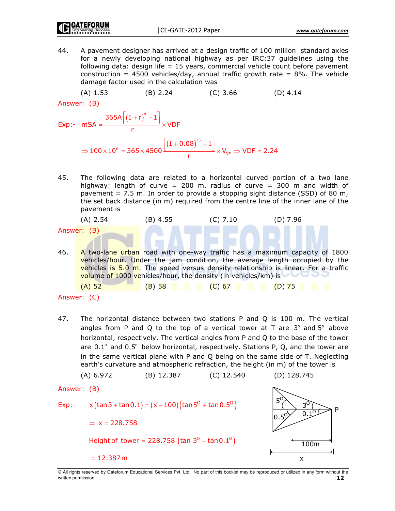44. A pavement designer has arrived at a design traffic of 100 million standard axles for a newly developing national highway as per IRC:37 guidelines using the following data: design life = 15 years, commercial vehicle count before pavement construction = 4500 vehicles/day, annual traffic growth rate =  $8\%$ . The vehicle damage factor used in the calculation was

 $(A) 1.53$  $(B) 2.24$  $(C)$  3.66  $(D)$  4.14

Answer: (B)

$$
\begin{aligned} \text{Exp:} \text{-} \quad \text{mSA} &= \frac{365 \text{A} \left[ \left( 1 + r \right)^n - 1 \right]}{r} \times \text{VDF} \\ &\Rightarrow 100 \times 10^6 = 365 \times 4500 \frac{\left[ \left( 1 + 0.08 \right)^{15} - 1 \right]}{r} \times V_{\text{DF}} \Rightarrow \text{VDF} = 2.24 \end{aligned}
$$

The following data are related to a horizontal curved portion of a two lane 45. highway: length of curve = 200 m, radius of curve = 300 m and width of pavement =  $7.5$  m. In order to provide a stopping sight distance (SSD) of 80 m, the set back distance (in m) required from the centre line of the inner lane of the pavement is

(A) 2.54

\n(B) 4.55

\n(C) 7.10

\n(D) 7.96

\nAnswer: 
$$
(B)
$$

\n46. A two-line urban road with one-way traffic has a maximum capacity of 1800 vehicles/hour. Under the jam condition, the average length occupied by the vehicles is 5.0 m. The speed versus density relationship is linear. For a traffic volume of 1000 vehicles/hour, the density (in vehicles/km) is

\n(A) 52

\n(B) 58

\n(C) 67

\n(D) 75

\nAnswer:  $(C)$ 

47. The horizontal distance between two stations P and Q is 100 m. The vertical angles from P and Q to the top of a vertical tower at T are  $3^\circ$  and  $5^\circ$  above horizontal, respectively. The vertical angles from P and Q to the base of the tower are  $0.1^{\circ}$  and  $0.5^{\circ}$  below horizontal, respectively. Stations P, Q, and the tower are in the same vertical plane with P and Q being on the same side of T. Neglecting earth's curvature and atmospheric refraction, the height (in m) of the tower is

@ All rights reserved by Gateforum Educational Services Pvt. Ltd. No part of this booklet may be reproduced or utilized in any form without the written permission.  $12<sub>2</sub>$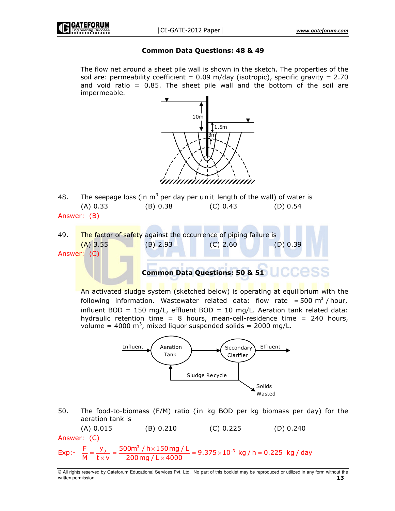# **Common Data Questions: 48 & 49**

The flow net around a sheet pile wall is shown in the sketch. The properties of the soil are: permeability coefficient =  $0.09$  m/day (isotropic), specific gravity =  $2.70$ and void ratio  $= 0.85$ . The sheet pile wall and the bottom of the soil are impermeable.



- The seepage loss (in  $m^3$  per day per unit length of the wall) of water is 48.  $(A) 0.33$  $(B) 0.38$  $(C) 0.43$  $(D) 0.54$ Answer: (B)
- 49. The factor of safety against the occurrence of piping failure is  $(A)$  3.55  $(B) 2.93$  $(C)$  2.60  $(D)$  0.39 Answer: (C)

**Common Data Questions: 50 & 51** 

An activated sludge system (sketched below) is operating at equilibrium with the following information. Wastewater related data: flow rate = 500  $m^3$  / hour, influent BOD = 150 mg/L, effluent BOD = 10 mg/L. Aeration tank related data: hydraulic retention time =  $8$  hours, mean-cell-residence time = 240 hours, volume = 4000  $m^3$ , mixed liquor suspended solids = 2000 mg/L.



50. The food-to-biomass (F/M) ratio (in kg BOD per kg biomass per day) for the aeration tank is

 $(A) 0.015$  $(C)$  0.225  $(D) 0.240$  $(B) 0.210$ Answer: (C)

 $=\frac{y_0}{txv}=\frac{500m^3/h \times 150mg/L}{200mg/L \times 4000}=9.375 \times 10^{-3} kg/h=0.225 kg/day$  $Exp:$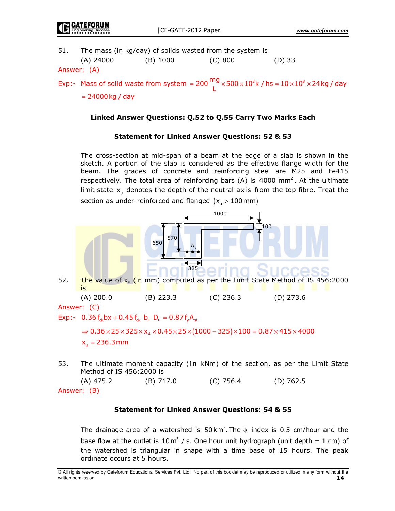$(D)$  33

51. The mass (in kg/day) of solids wasted from the system is

| (A) 24000 | (B) 1000 | (C) 800 |  |
|-----------|----------|---------|--|

Answer: (A)

Exp:- Mass of solid waste from system =  $200 \frac{mg}{l} \times 500 \times 10^3 k$  / hs =  $10 \times 10^8 \times 24 kg$  / day

 $= 24000$  kg / day

# Linked Answer Questions: Q.52 to Q.55 Carry Two Marks Each

# **Statement for Linked Answer Questions: 52 & 53**

The cross-section at mid-span of a beam at the edge of a slab is shown in the sketch. A portion of the slab is considered as the effective flange width for the beam. The grades of concrete and reinforcing steel are M25 and Fe415 respectively. The total area of reinforcing bars (A) is 4000  $mm<sup>2</sup>$ . At the ultimate limit state x<sub>n</sub> denotes the depth of the neutral axis from the top fibre. Treat the section as under-reinforced and flanged  $(x_n > 100$  mm)



The ultimate moment capacity (in kNm) of the section, as per the Limit State 53. Method of IS 456:2000 is

 $(C)$  756.4  $(A)$  475.2  $(B)$  717.0  $(D)$  762.5 Answer: (B)

# **Statement for Linked Answer Questions: 54 & 55**

The drainage area of a watershed is  $50 \text{ km}^2$ . The  $\phi$  index is 0.5 cm/hour and the base flow at the outlet is  $10 \text{ m}^3$  / s. One hour unit hydrograph (unit depth = 1 cm) of the watershed is triangular in shape with a time base of 15 hours. The peak ordinate occurs at 5 hours.

<sup>@</sup> All rights reserved by Gateforum Educational Services Pvt. Ltd. No part of this booklet may be reproduced or utilized in any form without the written permission.  $14$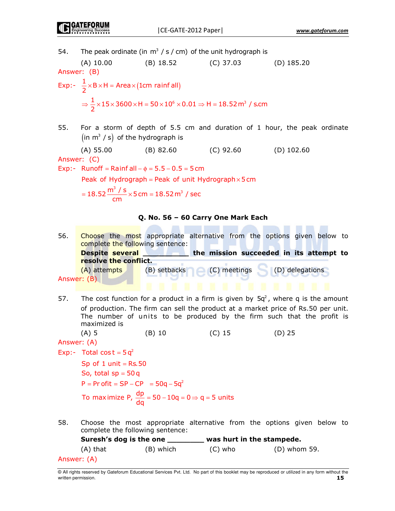The peak ordinate (in  $m^3$  / s / cm) of the unit hydrograph is 54.  $(A)$  10.00  $(B)$  18.52  $(C)$  37.03  $(D)$  185.20 Answer: (B) Exp:-  $\frac{1}{2}$  × B × H = Area × (1cm rainf all)  $\Rightarrow$   $\frac{1}{2}$  × 15 × 3600 × H = 50 × 10<sup>6</sup> × 0.01  $\Rightarrow$  H = 18.52 m<sup>3</sup> / s.cm 55. For a storm of depth of 5.5 cm and duration of 1 hour, the peak ordinate (in  $m^3$  / s) of the hydrograph is

 $(A)$  55.00  $(B) 82.60$  $(C)$  92.60  $(D)$  102.60

Answer: (C)

Exp:- Runoff = Rainf all  $-\phi = 5.5 - 0.5 = 5$  cm

Peak of Hydrograph = Peak of unit Hydrograph  $\times$  5 cm

$$
= 18.52 \frac{\mathrm{m}^3 / \mathrm{s}}{\mathrm{cm}} \times 5 \mathrm{cm} = 18.52 \mathrm{m}^3 / \mathrm{sec}
$$

# Q. No. 56 - 60 Carry One Mark Each

Choose the most appropriate alternative from the options given below to 56. complete the following sentence: **Despite several** the mission succeeded in its attempt to resolve the conflict. (C) meetings (D) delegations (A) attempts (B) setbacks Answer: (B)

57. The cost function for a product in a firm is given by  $5q^2$ , where g is the amount of production. The firm can sell the product at a market price of Rs.50 per unit. The number of units to be produced by the firm such that the profit is maximized is

 $(A)$  5  $(B)$  10  $(C)$  15  $(D)$  25

Answer: (A)

Exp:- Total cost =  $5a^2$ 

Sp of  $1$  unit = Rs. 50 So, total  $sp = 50q$  $P = Pr$  of it = SP – CP = 50g – 5g<sup>2</sup> To maximize P,  $\frac{dp}{dq} = 50 - 10q = 0 \Rightarrow q = 5$  units

58. Choose the most appropriate alternative from the options given below to complete the following sentence:

Suresh's dog is the one was hurt in the stampede.  $(A)$  that (B) which  $(C)$  who (D) whom 59. Answer: (A)

<sup>@</sup> All rights reserved by Gateforum Educational Services Pvt. Ltd. No part of this booklet may be reproduced or utilized in any form without the written permission. 15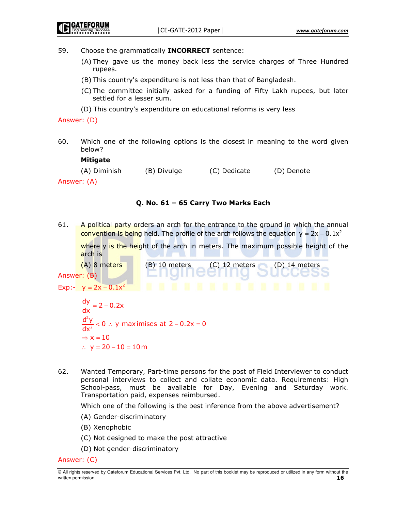$(D)$  14 meters

59. Choose the grammatically **INCORRECT** sentence:

- (A) They gave us the money back less the service charges of Three Hundred rupees.
- (B) This country's expenditure is not less than that of Bangladesh.
- (C) The committee initially asked for a funding of Fifty Lakh rupees, but later settled for a lesser sum.
- (D) This country's expenditure on educational reforms is very less

Answer: (D)

60. Which one of the following options is the closest in meaning to the word given below?

| Mitigate     |             |              |            |
|--------------|-------------|--------------|------------|
| (A) Diminish | (B) Divulge | (C) Dedicate | (D) Denote |
| Answer: (A)  |             |              |            |

# O. No. 61 - 65 Carry Two Marks Each

61. A political party orders an arch for the entrance to the ground in which the annual convention is being held. The profile of the arch follows the equation  $y = 2x - 0.1x^2$ 

where y is the height of the arch in meters. The maximum possible height of the arch is

(A) 8 meters  $(B)$  10 meters  $(C)$  12 meters Answer: (B)

$$
Exp: -y = 2x - 0.1x^2
$$

 $\frac{dy}{dx} = 2 - 0.2x$  $\frac{d^2y}{dx^2}$  < 0 : y maximises at 2 – 0.2x = 0  $\Rightarrow$  x = 10  $\therefore$  y = 20 – 10 = 10 m

62. Wanted Temporary, Part-time persons for the post of Field Interviewer to conduct personal interviews to collect and collate economic data. Requirements: High School-pass, must be available for Day, Evening and Saturday work. Transportation paid, expenses reimbursed.

Which one of the following is the best inference from the above advertisement?

- (A) Gender-discriminatory
- (B) Xenophobic
- (C) Not designed to make the post attractive
- (D) Not gender-discriminatory

Answer: (C)

<sup>@</sup> All rights reserved by Gateforum Educational Services Pvt. Ltd. No part of this booklet may be reproduced or utilized in any form without the written permission. 16